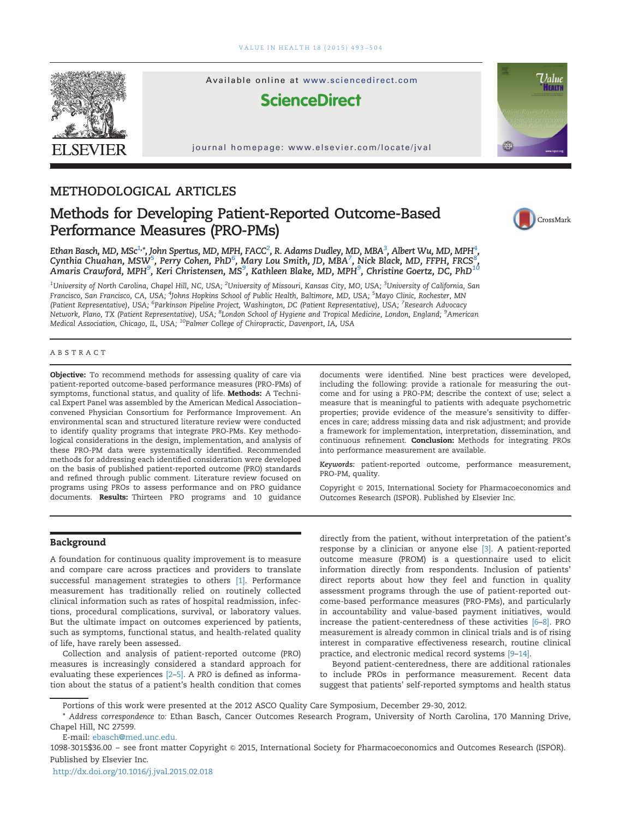

Available online at www.sciencedirect.com **ScienceDirect** 

# journal homepage: www.elsevier.com/locate/jval

# Value

# METHODOLOGICAL ARTICLES

# Methods for Developing Patient-Reported Outcome-Based Performance Measures (PRO-PMs)



Ethan Basch, MD, MSc<sup>1,</sup>\*, John Spertus, MD, MPH, FACC<sup>2</sup>, R. Adams Dudley, MD, MBA<sup>3</sup>, Albert Wu, MD, MPH<sup>4</sup>,<br>Cynthia Chuahan, MSW<sup>5</sup>, Perry Cohen, PhD<sup>6</sup>, Mary Lou Smith, JD, MBA<sup>7</sup>, Nick Black, MD, FFPH, FRCS<sup>8</sup>,<br>Amaris

<sup>1</sup>University of North Carolina, Chapel Hill, NC, USA; <sup>2</sup>University of Missouri, Kansas City, MO, USA; <sup>3</sup>University of California, San Francisco, San Francisco, CA, USA; <sup>4</sup>Johns Hopkins School of Public Health, Baltimore, MD, USA; <sup>5</sup>Mayo Clinic, Rochester, MN (Patient Representative), USA; <sup>6</sup>Parkinson Pipeline Project, Washington, DC (Patient Representative), USA; <sup>7</sup>Research Advocacy Network, Plano, TX (Patient Representative), USA; <sup>8</sup>London School of Hygiene and Tropical Medicine, London, England; <sup>9</sup>American Medical Association, Chicago, IL, USA; <sup>10</sup>Palmer College of Chiropractic, Davenport, IA, USA

# ABSTRACT

Objective: To recommend methods for assessing quality of care via patient-reported outcome-based performance measures (PRO-PMs) of symptoms, functional status, and quality of life. Methods: A Technical Expert Panel was assembled by the American Medical Association– convened Physician Consortium for Performance Improvement. An environmental scan and structured literature review were conducted to identify quality programs that integrate PRO-PMs. Key methodological considerations in the design, implementation, and analysis of these PRO-PM data were systematically identified. Recommended methods for addressing each identified consideration were developed on the basis of published patient-reported outcome (PRO) standards and refined through public comment. Literature review focused on programs using PROs to assess performance and on PRO guidance documents. Results: Thirteen PRO programs and 10 guidance

documents were identified. Nine best practices were developed, including the following: provide a rationale for measuring the outcome and for using a PRO-PM; describe the context of use; select a measure that is meaningful to patients with adequate psychometric properties; provide evidence of the measure's sensitivity to differences in care; address missing data and risk adjustment; and provide a framework for implementation, interpretation, dissemination, and continuous refinement. Conclusion: Methods for integrating PROs into performance measurement are available.

Keywords: patient-reported outcome, performance measurement, PRO-PM, quality.

Copyright © 2015, International Society for Pharmacoeconomics and Outcomes Research (ISPOR). Published by Elsevier Inc.

# Background

A foundation for continuous quality improvement is to measure and compare care across practices and providers to translate successful management strategies to others [1]. Performance measurement has traditionally relied on routinely collected clinical information such as rates of hospital readmission, infections, procedural complications, survival, or laboratory values. But the ultimate impact on outcomes experienced by patients, such as symptoms, functional status, and health-related quality of life, have rarely been assessed.

Collection and analysis of patient-reported outcome (PRO) measures is increasingly considered a standard approach for evaluating these experiences [2–5]. A PRO is defined as information about the status of a patient's health condition that comes

directly from the patient, without interpretation of the patient's response by a clinician or anyone else [3]. A patient-reported outcome measure (PROM) is a questionnaire used to elicit information directly from respondents. Inclusion of patients' direct reports about how they feel and function in quality assessment programs through the use of patient-reported outcome-based performance measures (PRO-PMs), and particularly in accountability and value-based payment initiatives, would increase the patient-centeredness of these activities [6–8]. PRO measurement is already common in clinical trials and is of rising interest in comparative effectiveness research, routine clinical practice, and electronic medical record systems [9–14].

Beyond patient-centeredness, there are additional rationales to include PROs in performance measurement. Recent data suggest that patients' self-reported symptoms and health status

Portions of this work were presented at the 2012 ASCO Quality Care Symposium, December 29-30, 2012.

<sup>\*</sup> Address correspondence to: Ethan Basch, Cancer Outcomes Research Program, University of North Carolina, 170 Manning Drive, Chapel Hill, NC 27599.

E-mail: [ebasch@med.unc.edu.](mailto:ebasch@med.unc.edu)

<sup>1098-3015\$36.00 -</sup> see front matter Copyright @ 2015, International Society for Pharmacoeconomics and Outcomes Research (ISPOR). Published by Elsevier Inc.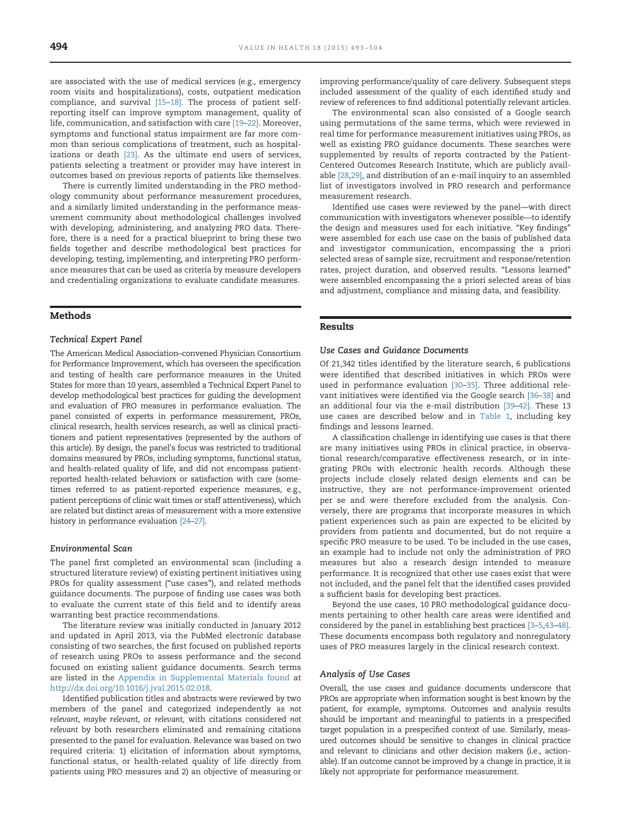are associated with the use of medical services (e.g., emergency room visits and hospitalizations), costs, outpatient medication compliance, and survival [15–18]. The process of patient selfreporting itself can improve symptom management, quality of life, communication, and satisfaction with care [19–22]. Moreover, symptoms and functional status impairment are far more common than serious complications of treatment, such as hospitalizations or death [23]. As the ultimate end users of services, patients selecting a treatment or provider may have interest in outcomes based on previous reports of patients like themselves.

There is currently limited understanding in the PRO methodology community about performance measurement procedures, and a similarly limited understanding in the performance measurement community about methodological challenges involved with developing, administering, and analyzing PRO data. Therefore, there is a need for a practical blueprint to bring these two fields together and describe methodological best practices for developing, testing, implementing, and interpreting PRO performance measures that can be used as criteria by measure developers and credentialing organizations to evaluate candidate measures.

# Methods

# Technical Expert Panel

The American Medical Association–convened Physician Consortium for Performance Improvement, which has overseen the specification and testing of health care performance measures in the United States for more than 10 years, assembled a Technical Expert Panel to develop methodological best practices for guiding the development and evaluation of PRO measures in performance evaluation. The panel consisted of experts in performance measurement, PROs, clinical research, health services research, as well as clinical practitioners and patient representatives (represented by the authors of this article). By design, the panel's focus was restricted to traditional domains measured by PROs, including symptoms, functional status, and health-related quality of life, and did not encompass patientreported health-related behaviors or satisfaction with care (sometimes referred to as patient-reported experience measures, e.g., patient perceptions of clinic wait times or staff attentiveness), which are related but distinct areas of measurement with a more extensive history in performance evaluation [24–27].

# Environmental Scan

The panel first completed an environmental scan (including a structured literature review) of existing pertinent initiatives using PROs for quality assessment ("use cases"), and related methods guidance documents. The purpose of finding use cases was both to evaluate the current state of this field and to identify areas warranting best practice recommendations.

The literature review was initially conducted in January 2012 and updated in April 2013, via the PubMed electronic database consisting of two searches, the first focused on published reports of research using PROs to assess performance and the second focused on existing salient guidance documents. Search terms are listed in the Appendix in Supplemental Materials found at [http://dx.doi.org/10.1016/j.jval.2015.02.018.](http://dx.doi.org/10.1016/j.jval.2015.02.018)

Identified publication titles and abstracts were reviewed by two members of the panel and categorized independently as not relevant, maybe relevant, or relevant, with citations considered not relevant by both researchers eliminated and remaining citations presented to the panel for evaluation. Relevance was based on two required criteria: 1) elicitation of information about symptoms, functional status, or health-related quality of life directly from patients using PRO measures and 2) an objective of measuring or

improving performance/quality of care delivery. Subsequent steps included assessment of the quality of each identified study and review of references to find additional potentially relevant articles.

The environmental scan also consisted of a Google search using permutations of the same terms, which were reviewed in real time for performance measurement initiatives using PROs, as well as existing PRO guidance documents. These searches were supplemented by results of reports contracted by the Patient-Centered Outcomes Research Institute, which are publicly available [28,29], and distribution of an e-mail inquiry to an assembled list of investigators involved in PRO research and performance measurement research.

Identified use cases were reviewed by the panel—with direct communication with investigators whenever possible—to identify the design and measures used for each initiative. "Key findings" were assembled for each use case on the basis of published data and investigator communication, encompassing the a priori selected areas of sample size, recruitment and response/retention rates, project duration, and observed results. "Lessons learned" were assembled encompassing the a priori selected areas of bias and adjustment, compliance and missing data, and feasibility.

# Results

### Use Cases and Guidance Documents

Of 21,342 titles identified by the literature search, 6 publications were identified that described initiatives in which PROs were used in performance evaluation [30–35]. Three additional relevant initiatives were identified via the Google search [36–38] and an additional four via the e-mail distribution [39–42]. These 13 use cases are described below and in Table 1, including key findings and lessons learned.

A classification challenge in identifying use cases is that there are many initiatives using PROs in clinical practice, in observational research/comparative effectiveness research, or in integrating PROs with electronic health records. Although these projects include closely related design elements and can be instructive, they are not performance-improvement oriented per se and were therefore excluded from the analysis. Conversely, there are programs that incorporate measures in which patient experiences such as pain are expected to be elicited by providers from patients and documented, but do not require a specific PRO measure to be used. To be included in the use cases, an example had to include not only the administration of PRO measures but also a research design intended to measure performance. It is recognized that other use cases exist that were not included, and the panel felt that the identified cases provided a sufficient basis for developing best practices.

Beyond the use cases, 10 PRO methodological guidance documents pertaining to other health care areas were identified and considered by the panel in establishing best practices [3–5,43–48]. These documents encompass both regulatory and nonregulatory uses of PRO measures largely in the clinical research context.

# Analysis of Use Cases

Overall, the use cases and guidance documents underscore that PROs are appropriate when information sought is best known by the patient, for example, symptoms. Outcomes and analysis results should be important and meaningful to patients in a prespecified target population in a prespecified context of use. Similarly, measured outcomes should be sensitive to changes in clinical practice and relevant to clinicians and other decision makers (i.e., actionable). If an outcome cannot be improved by a change in practice, it is likely not appropriate for performance measurement.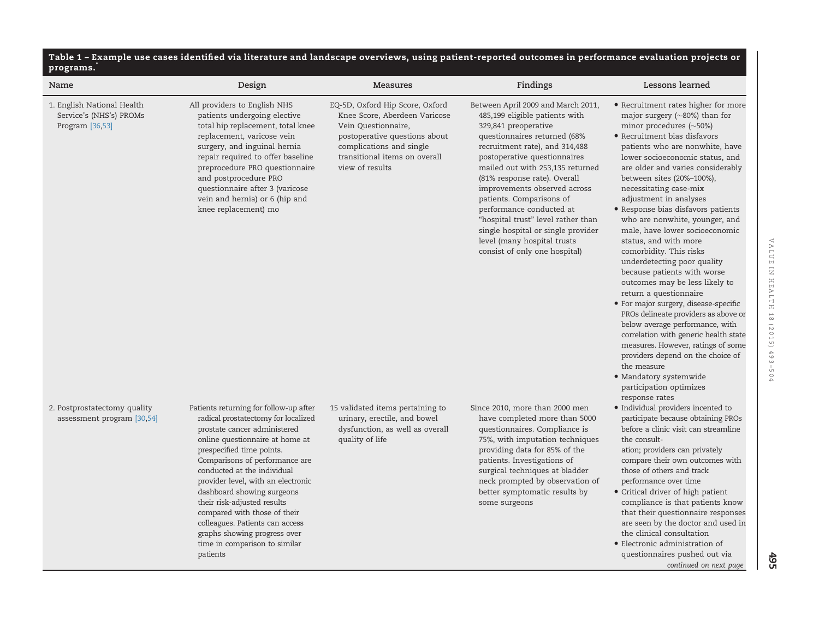Table 1 – Example use cases identified via literature and landscape overviews, using patient-reported outcomes in performance evaluation projects or programs.  $\dot{\phantom{a}}$ 

| Name                                                                     | Design                                                                                                                                                                                                                                                                                                                                                                                                                                                                                            | <b>Measures</b>                                                                                                                                                                                          | Findings                                                                                                                                                                                                                                                                                                                                                                                                                                                                                               | Lessons learned                                                                                                                                                                                                                                                                                                                                                                                                                                                                                                                                                                                                                                                                                                                                                                                                                                                                                                                                                 |
|--------------------------------------------------------------------------|---------------------------------------------------------------------------------------------------------------------------------------------------------------------------------------------------------------------------------------------------------------------------------------------------------------------------------------------------------------------------------------------------------------------------------------------------------------------------------------------------|----------------------------------------------------------------------------------------------------------------------------------------------------------------------------------------------------------|--------------------------------------------------------------------------------------------------------------------------------------------------------------------------------------------------------------------------------------------------------------------------------------------------------------------------------------------------------------------------------------------------------------------------------------------------------------------------------------------------------|-----------------------------------------------------------------------------------------------------------------------------------------------------------------------------------------------------------------------------------------------------------------------------------------------------------------------------------------------------------------------------------------------------------------------------------------------------------------------------------------------------------------------------------------------------------------------------------------------------------------------------------------------------------------------------------------------------------------------------------------------------------------------------------------------------------------------------------------------------------------------------------------------------------------------------------------------------------------|
| 1. English National Health<br>Service's (NHS's) PROMs<br>Program [36,53] | All providers to English NHS<br>patients undergoing elective<br>total hip replacement, total knee<br>replacement, varicose vein<br>surgery, and inguinal hernia<br>repair required to offer baseline<br>preprocedure PRO questionnaire<br>and postprocedure PRO<br>questionnaire after 3 (varicose<br>vein and hernia) or 6 (hip and<br>knee replacement) mo                                                                                                                                      | EQ-5D, Oxford Hip Score, Oxford<br>Knee Score, Aberdeen Varicose<br>Vein Questionnaire,<br>postoperative questions about<br>complications and single<br>transitional items on overall<br>view of results | Between April 2009 and March 2011,<br>485,199 eligible patients with<br>329,841 preoperative<br>questionnaires returned (68%<br>recruitment rate), and 314,488<br>postoperative questionnaires<br>mailed out with 253,135 returned<br>(81% response rate). Overall<br>improvements observed across<br>patients. Comparisons of<br>performance conducted at<br>"hospital trust" level rather than<br>single hospital or single provider<br>level (many hospital trusts<br>consist of only one hospital) | • Recruitment rates higher for more<br>major surgery ( $\sim$ 80%) than for<br>minor procedures $(\sim 50\%)$<br>• Recruitment bias disfavors<br>patients who are nonwhite, have<br>lower socioeconomic status, and<br>are older and varies considerably<br>between sites (20%-100%),<br>necessitating case-mix<br>adjustment in analyses<br>· Response bias disfavors patients<br>who are nonwhite, younger, and<br>male, have lower socioeconomic<br>status, and with more<br>comorbidity. This risks<br>underdetecting poor quality<br>because patients with worse<br>outcomes may be less likely to<br>return a questionnaire<br>· For major surgery, disease-specific<br>PROs delineate providers as above or<br>below average performance, with<br>correlation with generic health state<br>measures. However, ratings of some<br>providers depend on the choice of<br>the measure<br>· Mandatory systemwide<br>participation optimizes<br>response rates |
| 2. Postprostatectomy quality<br>assessment program [30,54]               | Patients returning for follow-up after<br>radical prostatectomy for localized<br>prostate cancer administered<br>online questionnaire at home at<br>prespecified time points.<br>Comparisons of performance are<br>conducted at the individual<br>provider level, with an electronic<br>dashboard showing surgeons<br>their risk-adjusted results<br>compared with those of their<br>colleagues. Patients can access<br>graphs showing progress over<br>time in comparison to similar<br>patients | 15 validated items pertaining to<br>urinary, erectile, and bowel<br>dysfunction, as well as overall<br>quality of life                                                                                   | Since 2010, more than 2000 men<br>have completed more than 5000<br>questionnaires. Compliance is<br>75%, with imputation techniques<br>providing data for 85% of the<br>patients. Investigations of<br>surgical techniques at bladder<br>neck prompted by observation of<br>better symptomatic results by<br>some surgeons                                                                                                                                                                             | · Individual providers incented to<br>participate because obtaining PROs<br>before a clinic visit can streamline<br>the consult-<br>ation; providers can privately<br>compare their own outcomes with<br>those of others and track<br>performance over time<br>• Critical driver of high patient<br>compliance is that patients know<br>that their questionnaire responses<br>are seen by the doctor and used in<br>the clinical consultation<br>• Electronic administration of<br>questionnaires pushed out via<br>continued on next page                                                                                                                                                                                                                                                                                                                                                                                                                      |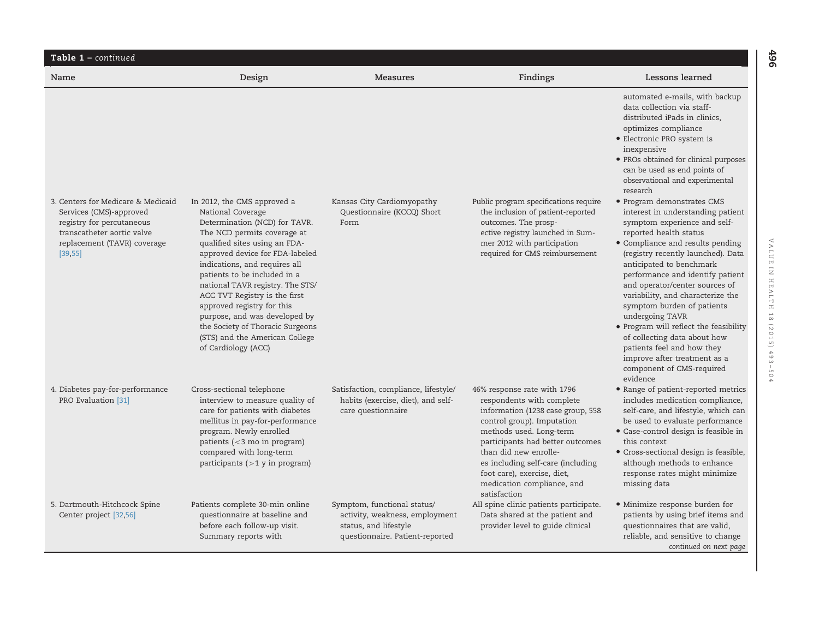| Table 1 - continued                                                                                                                                                 |                                                                                                                                                                                                                                                                                                                                                                                                                                                                                        |                                                                                                                           |                                                                                                                                                                                                                                                                                                                                       |                                                                                                                                                                                                                                                                                                                                                                                                                                                                                                                                                                              |
|---------------------------------------------------------------------------------------------------------------------------------------------------------------------|----------------------------------------------------------------------------------------------------------------------------------------------------------------------------------------------------------------------------------------------------------------------------------------------------------------------------------------------------------------------------------------------------------------------------------------------------------------------------------------|---------------------------------------------------------------------------------------------------------------------------|---------------------------------------------------------------------------------------------------------------------------------------------------------------------------------------------------------------------------------------------------------------------------------------------------------------------------------------|------------------------------------------------------------------------------------------------------------------------------------------------------------------------------------------------------------------------------------------------------------------------------------------------------------------------------------------------------------------------------------------------------------------------------------------------------------------------------------------------------------------------------------------------------------------------------|
| Name                                                                                                                                                                | Design                                                                                                                                                                                                                                                                                                                                                                                                                                                                                 | <b>Measures</b>                                                                                                           | Findings                                                                                                                                                                                                                                                                                                                              | Lessons learned                                                                                                                                                                                                                                                                                                                                                                                                                                                                                                                                                              |
|                                                                                                                                                                     |                                                                                                                                                                                                                                                                                                                                                                                                                                                                                        |                                                                                                                           |                                                                                                                                                                                                                                                                                                                                       | automated e-mails, with backup<br>data collection via staff-<br>distributed iPads in clinics,<br>optimizes compliance<br>• Electronic PRO system is<br>inexpensive<br>• PROs obtained for clinical purposes<br>can be used as end points of<br>observational and experimental<br>research                                                                                                                                                                                                                                                                                    |
| 3. Centers for Medicare & Medicaid<br>Services (CMS)-approved<br>registry for percutaneous<br>transcatheter aortic valve<br>replacement (TAVR) coverage<br>[39, 55] | In 2012, the CMS approved a<br>National Coverage<br>Determination (NCD) for TAVR.<br>The NCD permits coverage at<br>qualified sites using an FDA-<br>approved device for FDA-labeled<br>indications, and requires all<br>patients to be included in a<br>national TAVR registry. The STS/<br>ACC TVT Registry is the first<br>approved registry for this<br>purpose, and was developed by<br>the Society of Thoracic Surgeons<br>(STS) and the American College<br>of Cardiology (ACC) | Kansas City Cardiomyopathy<br>Questionnaire (KCCQ) Short<br>Form                                                          | Public program specifications require<br>the inclusion of patient-reported<br>outcomes. The prosp-<br>ective registry launched in Sum-<br>mer 2012 with participation<br>required for CMS reimbursement                                                                                                                               | • Program demonstrates CMS<br>interest in understanding patient<br>symptom experience and self-<br>reported health status<br>• Compliance and results pending<br>(registry recently launched). Data<br>anticipated to benchmark<br>performance and identify patient<br>and operator/center sources of<br>variability, and characterize the<br>symptom burden of patients<br>undergoing TAVR<br>• Program will reflect the feasibility<br>of collecting data about how<br>patients feel and how they<br>improve after treatment as a<br>component of CMS-required<br>evidence |
| 4. Diabetes pay-for-performance<br>PRO Evaluation [31]                                                                                                              | Cross-sectional telephone<br>interview to measure quality of<br>care for patients with diabetes<br>mellitus in pay-for-performance<br>program. Newly enrolled<br>patients $(<$ 3 mo in program)<br>compared with long-term<br>participants $(>1$ y in program)                                                                                                                                                                                                                         | Satisfaction, compliance, lifestyle/<br>habits (exercise, diet), and self-<br>care questionnaire                          | 46% response rate with 1796<br>respondents with complete<br>information (1238 case group, 558<br>control group). Imputation<br>methods used. Long-term<br>participants had better outcomes<br>than did new enrolle-<br>es including self-care (including<br>foot care), exercise, diet,<br>medication compliance, and<br>satisfaction | • Range of patient-reported metrics<br>includes medication compliance,<br>self-care, and lifestyle, which can<br>be used to evaluate performance<br>· Case-control design is feasible in<br>this context<br>· Cross-sectional design is feasible,<br>although methods to enhance<br>response rates might minimize<br>missing data                                                                                                                                                                                                                                            |
| 5. Dartmouth-Hitchcock Spine<br>Center project [32,56]                                                                                                              | Patients complete 30-min online<br>questionnaire at baseline and<br>before each follow-up visit.<br>Summary reports with                                                                                                                                                                                                                                                                                                                                                               | Symptom, functional status/<br>activity, weakness, employment<br>status, and lifestyle<br>questionnaire. Patient-reported | All spine clinic patients participate.<br>Data shared at the patient and<br>provider level to guide clinical                                                                                                                                                                                                                          | · Minimize response burden for<br>patients by using brief items and<br>questionnaires that are valid,<br>reliable, and sensitive to change<br>continued on next page                                                                                                                                                                                                                                                                                                                                                                                                         |

VALUE IN HEALTH 18 (2015) 493 VALUE IN HEALTH 18 (2015) 493-504 496  $^{10}$ 615)  $^{10}$ 493-504  $^{10}$ 715  $^{11}$ N HEALTH 18 (2015) 493-504

967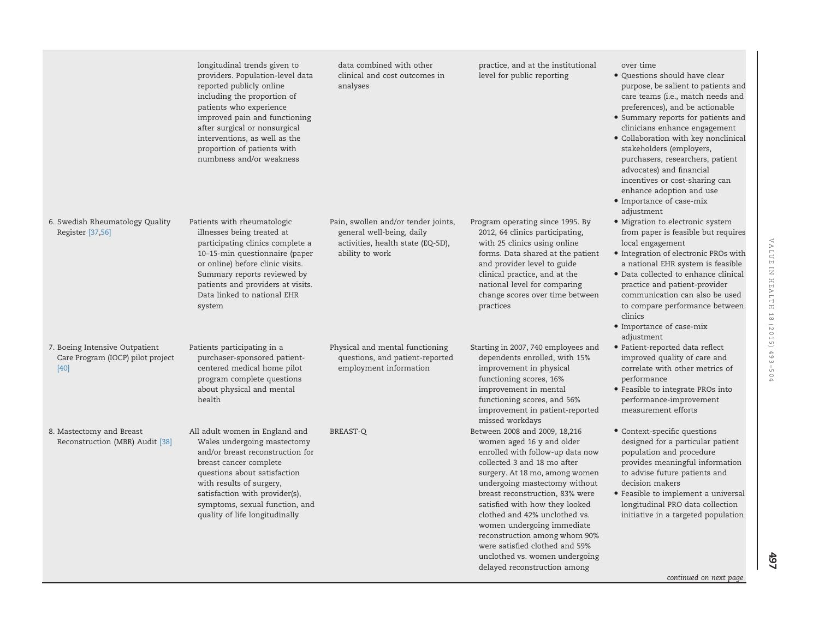|                                                                               | longitudinal trends given to<br>providers. Population-level data<br>reported publicly online<br>including the proportion of<br>patients who experience<br>improved pain and functioning<br>after surgical or nonsurgical<br>interventions, as well as the<br>proportion of patients with<br>numbness and/or weakness | data combined with other<br>clinical and cost outcomes in<br>analyses                                                    | practice, and at the institutional<br>level for public reporting                                                                                                                                                                                                                                                                                                                                                                                                          | over time<br>· Questions should have clear<br>purpose, be salient to patients and<br>care teams (i.e., match needs and<br>preferences), and be actionable<br>• Summary reports for patients and<br>clinicians enhance engagement<br>• Collaboration with key nonclinical<br>stakeholders (employers,<br>purchasers, researchers, patient<br>advocates) and financial<br>incentives or cost-sharing can<br>enhance adoption and use<br>• Importance of case-mix<br>adjustment |
|-------------------------------------------------------------------------------|----------------------------------------------------------------------------------------------------------------------------------------------------------------------------------------------------------------------------------------------------------------------------------------------------------------------|--------------------------------------------------------------------------------------------------------------------------|---------------------------------------------------------------------------------------------------------------------------------------------------------------------------------------------------------------------------------------------------------------------------------------------------------------------------------------------------------------------------------------------------------------------------------------------------------------------------|------------------------------------------------------------------------------------------------------------------------------------------------------------------------------------------------------------------------------------------------------------------------------------------------------------------------------------------------------------------------------------------------------------------------------------------------------------------------------|
| 6. Swedish Rheumatology Quality<br>Register [37,56]                           | Patients with rheumatologic<br>illnesses being treated at<br>participating clinics complete a<br>10-15-min questionnaire (paper<br>or online) before clinic visits.<br>Summary reports reviewed by<br>patients and providers at visits.<br>Data linked to national EHR<br>system                                     | Pain, swollen and/or tender joints,<br>general well-being, daily<br>activities, health state (EQ-5D),<br>ability to work | Program operating since 1995. By<br>2012, 64 clinics participating,<br>with 25 clinics using online<br>forms. Data shared at the patient<br>and provider level to guide<br>clinical practice, and at the<br>national level for comparing<br>change scores over time between<br>practices                                                                                                                                                                                  | · Migration to electronic system<br>from paper is feasible but requires<br>local engagement<br>• Integration of electronic PROs with<br>a national EHR system is feasible<br>• Data collected to enhance clinical<br>practice and patient-provider<br>communication can also be used<br>to compare performance between<br>clinics<br>• Importance of case-mix<br>adjustment                                                                                                  |
| 7. Boeing Intensive Outpatient<br>Care Program (IOCP) pilot project<br>$[40]$ | Patients participating in a<br>purchaser-sponsored patient-<br>centered medical home pilot<br>program complete questions<br>about physical and mental<br>health                                                                                                                                                      | Physical and mental functioning<br>questions, and patient-reported<br>employment information                             | Starting in 2007, 740 employees and<br>dependents enrolled, with 15%<br>improvement in physical<br>functioning scores, 16%<br>improvement in mental<br>functioning scores, and 56%<br>improvement in patient-reported<br>missed workdays                                                                                                                                                                                                                                  | • Patient-reported data reflect<br>improved quality of care and<br>correlate with other metrics of<br>performance<br>· Feasible to integrate PROs into<br>performance-improvement<br>measurement efforts                                                                                                                                                                                                                                                                     |
| 8. Mastectomy and Breast<br>Reconstruction (MBR) Audit [38]                   | All adult women in England and<br>Wales undergoing mastectomy<br>and/or breast reconstruction for<br>breast cancer complete<br>questions about satisfaction<br>with results of surgery,<br>satisfaction with provider(s),<br>symptoms, sexual function, and<br>quality of life longitudinally                        | <b>BREAST-Q</b>                                                                                                          | Between 2008 and 2009, 18,216<br>women aged 16 y and older<br>enrolled with follow-up data now<br>collected 3 and 18 mo after<br>surgery. At 18 mo, among women<br>undergoing mastectomy without<br>breast reconstruction, 83% were<br>satisfied with how they looked<br>clothed and 42% unclothed vs.<br>women undergoing immediate<br>reconstruction among whom 90%<br>were satisfied clothed and 59%<br>unclothed vs. women undergoing<br>delayed reconstruction among | • Context-specific questions<br>designed for a particular patient<br>population and procedure<br>provides meaningful information<br>to advise future patients and<br>decision makers<br>• Feasible to implement a universal<br>longitudinal PRO data collection<br>initiative in a targeted population                                                                                                                                                                       |

VALUE IN HEALTH 18 (2015) 493 – 504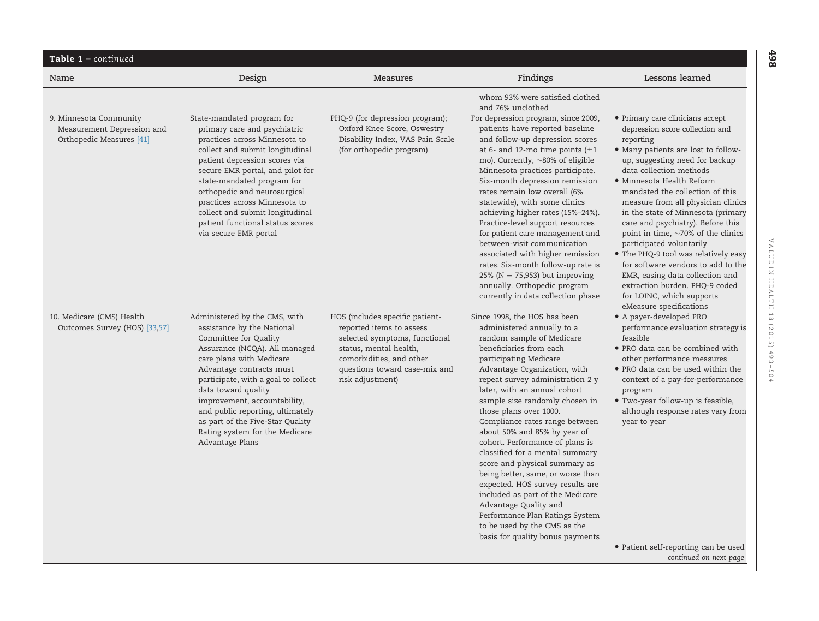| Table 1 - continued                                                              |                                                                                                                                                                                                                                                                                                                                                                                                          |                                                                                                                                                                                                         |                                                                                                                                                                                                                                                                                                                                                                                                                                                                                                                                                                                                                                                                                                                                    |                                                                                                                                                                                                                                                                                                                                                                                                                                                                                                                                                                                                                                                          |
|----------------------------------------------------------------------------------|----------------------------------------------------------------------------------------------------------------------------------------------------------------------------------------------------------------------------------------------------------------------------------------------------------------------------------------------------------------------------------------------------------|---------------------------------------------------------------------------------------------------------------------------------------------------------------------------------------------------------|------------------------------------------------------------------------------------------------------------------------------------------------------------------------------------------------------------------------------------------------------------------------------------------------------------------------------------------------------------------------------------------------------------------------------------------------------------------------------------------------------------------------------------------------------------------------------------------------------------------------------------------------------------------------------------------------------------------------------------|----------------------------------------------------------------------------------------------------------------------------------------------------------------------------------------------------------------------------------------------------------------------------------------------------------------------------------------------------------------------------------------------------------------------------------------------------------------------------------------------------------------------------------------------------------------------------------------------------------------------------------------------------------|
| Name                                                                             | Design                                                                                                                                                                                                                                                                                                                                                                                                   | <b>Measures</b>                                                                                                                                                                                         | Findings                                                                                                                                                                                                                                                                                                                                                                                                                                                                                                                                                                                                                                                                                                                           | Lessons learned                                                                                                                                                                                                                                                                                                                                                                                                                                                                                                                                                                                                                                          |
| 9. Minnesota Community<br>Measurement Depression and<br>Orthopedic Measures [41] | State-mandated program for<br>primary care and psychiatric<br>practices across Minnesota to<br>collect and submit longitudinal<br>patient depression scores via<br>secure EMR portal, and pilot for<br>state-mandated program for<br>orthopedic and neurosurgical<br>practices across Minnesota to<br>collect and submit longitudinal<br>patient functional status scores<br>via secure EMR portal       | PHQ-9 (for depression program);<br>Oxford Knee Score, Oswestry<br>Disability Index, VAS Pain Scale<br>(for orthopedic program)                                                                          | whom 93% were satisfied clothed<br>and 76% unclothed<br>For depression program, since 2009,<br>patients have reported baseline<br>and follow-up depression scores<br>at 6- and 12-mo time points $(\pm 1)$<br>mo). Currently, $\sim$ 80% of eligible<br>Minnesota practices participate.<br>Six-month depression remission<br>rates remain low overall (6%<br>statewide), with some clinics<br>achieving higher rates (15%-24%).<br>Practice-level support resources<br>for patient care management and<br>between-visit communication<br>associated with higher remission<br>rates. Six-month follow-up rate is<br>25% ( $N = 75,953$ ) but improving<br>annually. Orthopedic program<br>currently in data collection phase       | • Primary care clinicians accept<br>depression score collection and<br>reporting<br>· Many patients are lost to follow-<br>up, suggesting need for backup<br>data collection methods<br>• Minnesota Health Reform<br>mandated the collection of this<br>measure from all physician clinics<br>in the state of Minnesota (primary<br>care and psychiatry). Before this<br>point in time, $\sim$ 70% of the clinics<br>participated voluntarily<br>• The PHQ-9 tool was relatively easy<br>for software vendors to add to the<br>EMR, easing data collection and<br>extraction burden. PHQ-9 coded<br>for LOINC, which supports<br>eMeasure specifications |
| 10. Medicare (CMS) Health<br>Outcomes Survey (HOS) [33,57]                       | Administered by the CMS, with<br>assistance by the National<br>Committee for Quality<br>Assurance (NCQA). All managed<br>care plans with Medicare<br>Advantage contracts must<br>participate, with a goal to collect<br>data toward quality<br>improvement, accountability,<br>and public reporting, ultimately<br>as part of the Five-Star Quality<br>Rating system for the Medicare<br>Advantage Plans | HOS (includes specific patient-<br>reported items to assess<br>selected symptoms, functional<br>status, mental health,<br>comorbidities, and other<br>questions toward case-mix and<br>risk adjustment) | Since 1998, the HOS has been<br>administered annually to a<br>random sample of Medicare<br>beneficiaries from each<br>participating Medicare<br>Advantage Organization, with<br>repeat survey administration 2 y<br>later, with an annual cohort<br>sample size randomly chosen in<br>those plans over 1000.<br>Compliance rates range between<br>about 50% and 85% by year of<br>cohort. Performance of plans is<br>classified for a mental summary<br>score and physical summary as<br>being better, same, or worse than<br>expected. HOS survey results are<br>included as part of the Medicare<br>Advantage Quality and<br>Performance Plan Ratings System<br>to be used by the CMS as the<br>basis for quality bonus payments | • A payer-developed PRO<br>performance evaluation strategy is<br>feasible<br>• PRO data can be combined with<br>other performance measures<br>• PRO data can be used within the<br>context of a pay-for-performance<br>program<br>• Two-year follow-up is feasible,<br>although response rates vary from<br>year to year<br>• Patient self-reporting can be used<br>continued on next page                                                                                                                                                                                                                                                               |

VALUE IN HEALTH 18 (2015) 493 VALUE IN HEALTH 18 (2015) 493-504

498  $^{10}$ 504  $^{10}$ 704  $^{10}$ 51  $^{10}$ 51  $^{11}$ 51  $^{11}$ 81  $^{12}$ 71  $^{13}$ 81  $^{12}$ 93  $^{-5}$ 

867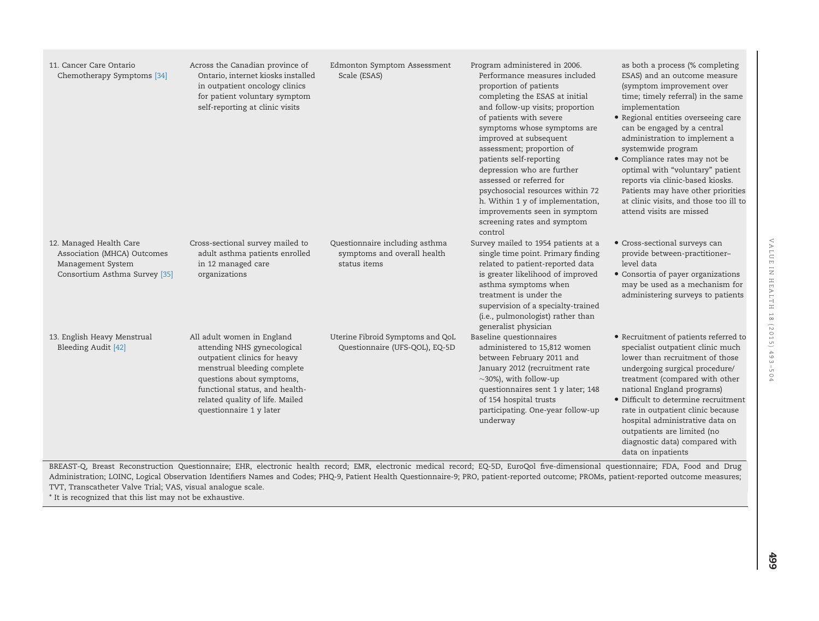| 11. Cancer Care Ontario<br>Chemotherapy Symptoms [34]                                                        | Across the Canadian province of<br>Ontario, internet kiosks installed<br>in outpatient oncology clinics<br>for patient voluntary symptom<br>self-reporting at clinic visits                                                                           | Edmonton Symptom Assessment<br>Scale (ESAS)                                   | Program administered in 2006.<br>Performance measures included<br>proportion of patients<br>completing the ESAS at initial<br>and follow-up visits; proportion<br>of patients with severe<br>symptoms whose symptoms are<br>improved at subsequent<br>assessment; proportion of<br>patients self-reporting<br>depression who are further<br>assessed or referred for<br>psychosocial resources within 72<br>h. Within 1 y of implementation,<br>improvements seen in symptom<br>screening rates and symptom<br>control | as both a process (% completing<br>ESAS) and an outcome measure<br>(symptom improvement over<br>time; timely referral) in the same<br>implementation<br>· Regional entities overseeing care<br>can be engaged by a central<br>administration to implement a<br>systemwide program<br>• Compliance rates may not be<br>optimal with "voluntary" patient<br>reports via clinic-based kiosks.<br>Patients may have other priorities<br>at clinic visits, and those too ill to<br>attend visits are missed |
|--------------------------------------------------------------------------------------------------------------|-------------------------------------------------------------------------------------------------------------------------------------------------------------------------------------------------------------------------------------------------------|-------------------------------------------------------------------------------|------------------------------------------------------------------------------------------------------------------------------------------------------------------------------------------------------------------------------------------------------------------------------------------------------------------------------------------------------------------------------------------------------------------------------------------------------------------------------------------------------------------------|--------------------------------------------------------------------------------------------------------------------------------------------------------------------------------------------------------------------------------------------------------------------------------------------------------------------------------------------------------------------------------------------------------------------------------------------------------------------------------------------------------|
| 12. Managed Health Care<br>Association (MHCA) Outcomes<br>Management System<br>Consortium Asthma Survey [35] | Cross-sectional survey mailed to<br>adult asthma patients enrolled<br>in 12 managed care<br>organizations                                                                                                                                             | Questionnaire including asthma<br>symptoms and overall health<br>status items | Survey mailed to 1954 patients at a<br>single time point. Primary finding<br>related to patient-reported data<br>is greater likelihood of improved<br>asthma symptoms when<br>treatment is under the<br>supervision of a specialty-trained<br>(i.e., pulmonologist) rather than<br>generalist physician                                                                                                                                                                                                                | • Cross-sectional surveys can<br>provide between-practitioner-<br>level data<br>• Consortia of payer organizations<br>may be used as a mechanism for<br>administering surveys to patients                                                                                                                                                                                                                                                                                                              |
| 13. English Heavy Menstrual<br>Bleeding Audit [42]                                                           | All adult women in England<br>attending NHS gynecological<br>outpatient clinics for heavy<br>menstrual bleeding complete<br>questions about symptoms,<br>functional status, and health-<br>related quality of life. Mailed<br>questionnaire 1 y later | Uterine Fibroid Symptoms and QoL<br>Questionnaire (UFS-QOL), EQ-5D            | Baseline questionnaires<br>administered to 15,812 women<br>between February 2011 and<br>January 2012 (recruitment rate<br>$\sim$ 30%), with follow-up<br>questionnaires sent 1 y later; 148<br>of 154 hospital trusts<br>participating. One-year follow-up<br>underway                                                                                                                                                                                                                                                 | • Recruitment of patients referred to<br>specialist outpatient clinic much<br>lower than recruitment of those<br>undergoing surgical procedure/<br>treatment (compared with other<br>national England programs)<br>· Difficult to determine recruitment<br>rate in outpatient clinic because<br>hospital administrative data on<br>outpatients are limited (no<br>diagnostic data) compared with<br>data on inpatients                                                                                 |

BREAST-Q, Breast Reconstruction Questionnaire; EHR, electronic health record; EMR, electronic medical record; EQ-5D, EuroQol five-dimensional questionnaire; FDA, Food and Drug Administration; LOINC, Logical Observation Identifiers Names and Codes; PHQ-9, Patient Health Questionnaire-9; PRO, patient-reported outcome; PROMs, patient-reported outcome measures; TVT, Transcatheter Valve Trial; VAS, visual analogue scale.

\* It is recognized that this list may not be exhaustive.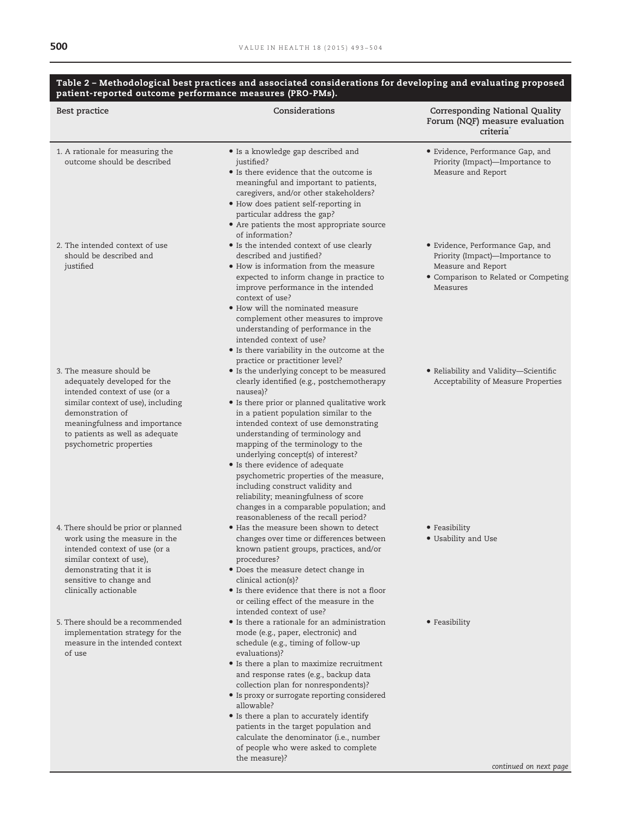| Best practice                                                                                                                                                                                                                                      | Considerations                                                                                                                                                                                                                                                                                                                                                                                                                                                                                                                                                                                      | <b>Corresponding National Quality</b><br>Forum (NQF) measure evaluation<br><i>criteria</i>                                                           |
|----------------------------------------------------------------------------------------------------------------------------------------------------------------------------------------------------------------------------------------------------|-----------------------------------------------------------------------------------------------------------------------------------------------------------------------------------------------------------------------------------------------------------------------------------------------------------------------------------------------------------------------------------------------------------------------------------------------------------------------------------------------------------------------------------------------------------------------------------------------------|------------------------------------------------------------------------------------------------------------------------------------------------------|
| 1. A rationale for measuring the<br>outcome should be described                                                                                                                                                                                    | • Is a knowledge gap described and<br>justified?<br>• Is there evidence that the outcome is<br>meaningful and important to patients,<br>caregivers, and/or other stakeholders?<br>· How does patient self-reporting in<br>particular address the gap?<br>• Are patients the most appropriate source<br>of information?                                                                                                                                                                                                                                                                              | • Evidence, Performance Gap, and<br>Priority (Impact)-Importance to<br>Measure and Report                                                            |
| 2. The intended context of use<br>should be described and<br>justified                                                                                                                                                                             | • Is the intended context of use clearly<br>described and justified?<br>• How is information from the measure<br>expected to inform change in practice to<br>improve performance in the intended<br>context of use?<br>• How will the nominated measure<br>complement other measures to improve<br>understanding of performance in the<br>intended context of use?<br>• Is there variability in the outcome at the<br>practice or practitioner level?                                                                                                                                               | • Evidence, Performance Gap, and<br>Priority (Impact)-Importance to<br>Measure and Report<br>• Comparison to Related or Competing<br><b>Measures</b> |
| 3. The measure should be<br>adequately developed for the<br>intended context of use (or a<br>similar context of use), including<br>demonstration of<br>meaningfulness and importance<br>to patients as well as adequate<br>psychometric properties | • Is the underlying concept to be measured<br>clearly identified (e.g., postchemotherapy<br>nausea)?<br>• Is there prior or planned qualitative work<br>in a patient population similar to the<br>intended context of use demonstrating<br>understanding of terminology and<br>mapping of the terminology to the<br>underlying concept(s) of interest?<br>• Is there evidence of adequate<br>psychometric properties of the measure,<br>including construct validity and<br>reliability; meaningfulness of score<br>changes in a comparable population; and<br>reasonableness of the recall period? | • Reliability and Validity—Scientific<br>Acceptability of Measure Properties                                                                         |
| 4. There should be prior or planned<br>work using the measure in the<br>intended context of use (or a<br>similar context of use),<br>demonstrating that it is<br>sensitive to change and<br>clinically actionable                                  | • Has the measure been shown to detect<br>changes over time or differences between<br>known patient groups, practices, and/or<br>procedures?<br>• Does the measure detect change in<br>clinical action(s)?<br>• Is there evidence that there is not a floor<br>or ceiling effect of the measure in the<br>intended context of use?                                                                                                                                                                                                                                                                  | • Feasibility<br>• Usability and Use                                                                                                                 |
| 5. There should be a recommended<br>implementation strategy for the<br>measure in the intended context<br>of use                                                                                                                                   | • Is there a rationale for an administration<br>mode (e.g., paper, electronic) and<br>schedule (e.g., timing of follow-up<br>evaluations)?<br>• Is there a plan to maximize recruitment<br>and response rates (e.g., backup data<br>collection plan for nonrespondents)?<br>• Is proxy or surrogate reporting considered<br>allowable?<br>• Is there a plan to accurately identify<br>patients in the target population and<br>calculate the denominator (i.e., number<br>of people who were asked to complete<br>the measure)?                                                                     | • Feasibility<br>continued on next page                                                                                                              |

# Table 2 – Methodological best practices and associated considerations for developing and evaluating proposed patient-reported outcome performance measures (PRO-PMs).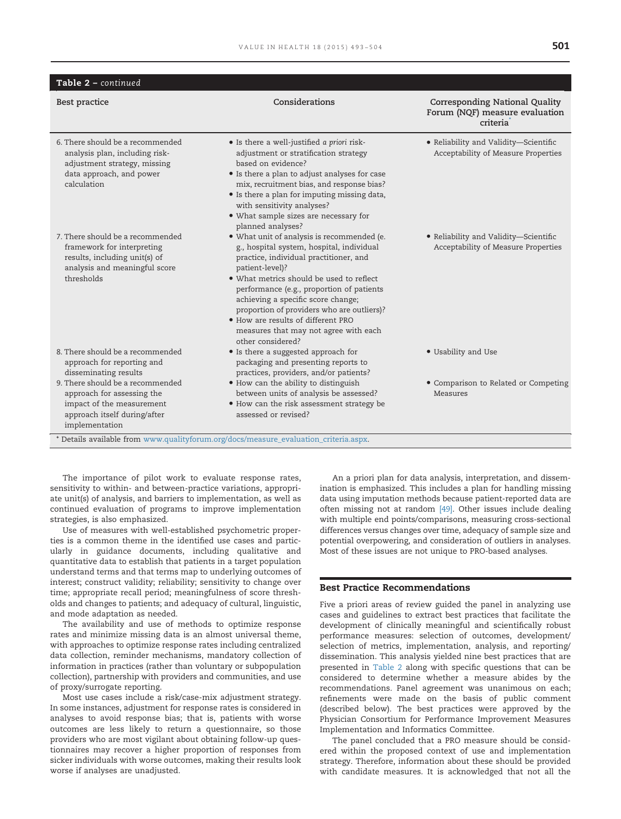| Table 2 - continued                                                                                                                            |                                                                                                                                                                                                                                                                                                                                                                                                                                       |                                                                                     |
|------------------------------------------------------------------------------------------------------------------------------------------------|---------------------------------------------------------------------------------------------------------------------------------------------------------------------------------------------------------------------------------------------------------------------------------------------------------------------------------------------------------------------------------------------------------------------------------------|-------------------------------------------------------------------------------------|
| Best practice                                                                                                                                  | Considerations                                                                                                                                                                                                                                                                                                                                                                                                                        | <b>Corresponding National Quality</b><br>Forum (NQF) measure evaluation<br>criteria |
| 6. There should be a recommended<br>analysis plan, including risk-<br>adjustment strategy, missing<br>data approach, and power<br>calculation  | · Is there a well-justified a priori risk-<br>adjustment or stratification strategy<br>based on evidence?<br>• Is there a plan to adjust analyses for case<br>mix, recruitment bias, and response bias?<br>• Is there a plan for imputing missing data,<br>with sensitivity analyses?<br>• What sample sizes are necessary for<br>planned analyses?                                                                                   | · Reliability and Validity-Scientific<br>Acceptability of Measure Properties        |
| 7. There should be a recommended<br>framework for interpreting<br>results, including unit(s) of<br>analysis and meaningful score<br>thresholds | · What unit of analysis is recommended (e.<br>g., hospital system, hospital, individual<br>practice, individual practitioner, and<br>patient-level)?<br>. What metrics should be used to reflect<br>performance (e.g., proportion of patients<br>achieving a specific score change;<br>proportion of providers who are outliers)?<br>• How are results of different PRO<br>measures that may not agree with each<br>other considered? | • Reliability and Validity-Scientific<br>Acceptability of Measure Properties        |
| 8. There should be a recommended<br>approach for reporting and<br>disseminating results                                                        | • Is there a suggested approach for<br>packaging and presenting reports to<br>practices, providers, and/or patients?                                                                                                                                                                                                                                                                                                                  | • Usability and Use                                                                 |
| 9. There should be a recommended<br>approach for assessing the<br>impact of the measurement<br>approach itself during/after<br>implementation  | • How can the ability to distinguish<br>between units of analysis be assessed?<br>• How can the risk assessment strategy be<br>assessed or revised?                                                                                                                                                                                                                                                                                   | • Comparison to Related or Competing<br>Measures                                    |
|                                                                                                                                                | * Details available from www.qualityforum.org/docs/measure_evaluation_criteria.aspx.                                                                                                                                                                                                                                                                                                                                                  |                                                                                     |

The importance of pilot work to evaluate response rates, sensitivity to within- and between-practice variations, appropriate unit(s) of analysis, and barriers to implementation, as well as continued evaluation of programs to improve implementation

strategies, is also emphasized. Use of measures with well-established psychometric properties is a common theme in the identified use cases and particularly in guidance documents, including qualitative and quantitative data to establish that patients in a target population understand terms and that terms map to underlying outcomes of interest; construct validity; reliability; sensitivity to change over time; appropriate recall period; meaningfulness of score thresholds and changes to patients; and adequacy of cultural, linguistic, and mode adaptation as needed.

The availability and use of methods to optimize response rates and minimize missing data is an almost universal theme, with approaches to optimize response rates including centralized data collection, reminder mechanisms, mandatory collection of information in practices (rather than voluntary or subpopulation collection), partnership with providers and communities, and use of proxy/surrogate reporting.

Most use cases include a risk/case-mix adjustment strategy. In some instances, adjustment for response rates is considered in analyses to avoid response bias; that is, patients with worse outcomes are less likely to return a questionnaire, so those providers who are most vigilant about obtaining follow-up questionnaires may recover a higher proportion of responses from sicker individuals with worse outcomes, making their results look worse if analyses are unadjusted.

An a priori plan for data analysis, interpretation, and dissemination is emphasized. This includes a plan for handling missing data using imputation methods because patient-reported data are often missing not at random [49]. Other issues include dealing with multiple end points/comparisons, measuring cross-sectional differences versus changes over time, adequacy of sample size and potential overpowering, and consideration of outliers in analyses. Most of these issues are not unique to PRO-based analyses.

# Best Practice Recommendations

Five a priori areas of review guided the panel in analyzing use cases and guidelines to extract best practices that facilitate the development of clinically meaningful and scientifically robust performance measures: selection of outcomes, development/ selection of metrics, implementation, analysis, and reporting/ dissemination. This analysis yielded nine best practices that are presented in Table 2 along with specific questions that can be considered to determine whether a measure abides by the recommendations. Panel agreement was unanimous on each; refinements were made on the basis of public comment (described below). The best practices were approved by the Physician Consortium for Performance Improvement Measures Implementation and Informatics Committee.

The panel concluded that a PRO measure should be considered within the proposed context of use and implementation strategy. Therefore, information about these should be provided with candidate measures. It is acknowledged that not all the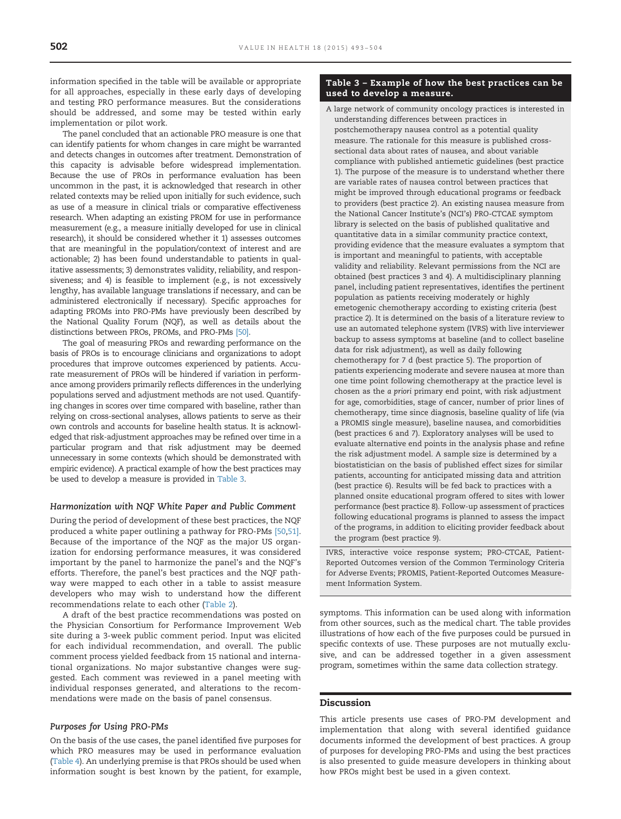information specified in the table will be available or appropriate for all approaches, especially in these early days of developing and testing PRO performance measures. But the considerations should be addressed, and some may be tested within early implementation or pilot work.

The panel concluded that an actionable PRO measure is one that can identify patients for whom changes in care might be warranted and detects changes in outcomes after treatment. Demonstration of this capacity is advisable before widespread implementation. Because the use of PROs in performance evaluation has been uncommon in the past, it is acknowledged that research in other related contexts may be relied upon initially for such evidence, such as use of a measure in clinical trials or comparative effectiveness research. When adapting an existing PROM for use in performance measurement (e.g., a measure initially developed for use in clinical research), it should be considered whether it 1) assesses outcomes that are meaningful in the population/context of interest and are actionable; 2) has been found understandable to patients in qualitative assessments; 3) demonstrates validity, reliability, and responsiveness; and 4) is feasible to implement (e.g., is not excessively lengthy, has available language translations if necessary, and can be administered electronically if necessary). Specific approaches for adapting PROMs into PRO-PMs have previously been described by the National Quality Forum (NQF), as well as details about the distinctions between PROs, PROMs, and PRO-PMs [50].

The goal of measuring PROs and rewarding performance on the basis of PROs is to encourage clinicians and organizations to adopt procedures that improve outcomes experienced by patients. Accurate measurement of PROs will be hindered if variation in performance among providers primarily reflects differences in the underlying populations served and adjustment methods are not used. Quantifying changes in scores over time compared with baseline, rather than relying on cross-sectional analyses, allows patients to serve as their own controls and accounts for baseline health status. It is acknowledged that risk-adjustment approaches may be refined over time in a particular program and that risk adjustment may be deemed unnecessary in some contexts (which should be demonstrated with empiric evidence). A practical example of how the best practices may be used to develop a measure is provided in Table 3.

# Harmonization with NQF White Paper and Public Comment

During the period of development of these best practices, the NQF produced a white paper outlining a pathway for PRO-PMs [50,51]. Because of the importance of the NQF as the major US organization for endorsing performance measures, it was considered important by the panel to harmonize the panel's and the NQF's efforts. Therefore, the panel's best practices and the NQF pathway were mapped to each other in a table to assist measure developers who may wish to understand how the different recommendations relate to each other (Table 2).

A draft of the best practice recommendations was posted on the Physician Consortium for Performance Improvement Web site during a 3-week public comment period. Input was elicited for each individual recommendation, and overall. The public comment process yielded feedback from 15 national and international organizations. No major substantive changes were suggested. Each comment was reviewed in a panel meeting with individual responses generated, and alterations to the recommendations were made on the basis of panel consensus.

# Purposes for Using PRO-PMs

On the basis of the use cases, the panel identified five purposes for which PRO measures may be used in performance evaluation (Table 4). An underlying premise is that PROs should be used when information sought is best known by the patient, for example,

# Table 3 – Example of how the best practices can be used to develop a measure.

A large network of community oncology practices is interested in understanding differences between practices in postchemotherapy nausea control as a potential quality measure. The rationale for this measure is published crosssectional data about rates of nausea, and about variable compliance with published antiemetic guidelines (best practice 1). The purpose of the measure is to understand whether there are variable rates of nausea control between practices that might be improved through educational programs or feedback to providers (best practice 2). An existing nausea measure from the National Cancer Institute's (NCI's) PRO-CTCAE symptom library is selected on the basis of published qualitative and quantitative data in a similar community practice context, providing evidence that the measure evaluates a symptom that is important and meaningful to patients, with acceptable validity and reliability. Relevant permissions from the NCI are obtained (best practices 3 and 4). A multidisciplinary planning panel, including patient representatives, identifies the pertinent population as patients receiving moderately or highly emetogenic chemotherapy according to existing criteria (best practice 2). It is determined on the basis of a literature review to use an automated telephone system (IVRS) with live interviewer backup to assess symptoms at baseline (and to collect baseline data for risk adjustment), as well as daily following chemotherapy for 7 d (best practice 5). The proportion of patients experiencing moderate and severe nausea at more than one time point following chemotherapy at the practice level is chosen as the a priori primary end point, with risk adjustment for age, comorbidities, stage of cancer, number of prior lines of chemotherapy, time since diagnosis, baseline quality of life (via a PROMIS single measure), baseline nausea, and comorbidities (best practices 6 and 7). Exploratory analyses will be used to evaluate alternative end points in the analysis phase and refine the risk adjustment model. A sample size is determined by a biostatistician on the basis of published effect sizes for similar patients, accounting for anticipated missing data and attrition (best practice 6). Results will be fed back to practices with a planned onsite educational program offered to sites with lower performance (best practice 8). Follow-up assessment of practices following educational programs is planned to assess the impact of the programs, in addition to eliciting provider feedback about the program (best practice 9).

IVRS, interactive voice response system; PRO-CTCAE, Patient-Reported Outcomes version of the Common Terminology Criteria for Adverse Events; PROMIS, Patient-Reported Outcomes Measurement Information System.

symptoms. This information can be used along with information from other sources, such as the medical chart. The table provides illustrations of how each of the five purposes could be pursued in specific contexts of use. These purposes are not mutually exclusive, and can be addressed together in a given assessment program, sometimes within the same data collection strategy.

# Discussion

This article presents use cases of PRO-PM development and implementation that along with several identified guidance documents informed the development of best practices. A group of purposes for developing PRO-PMs and using the best practices is also presented to guide measure developers in thinking about how PROs might best be used in a given context.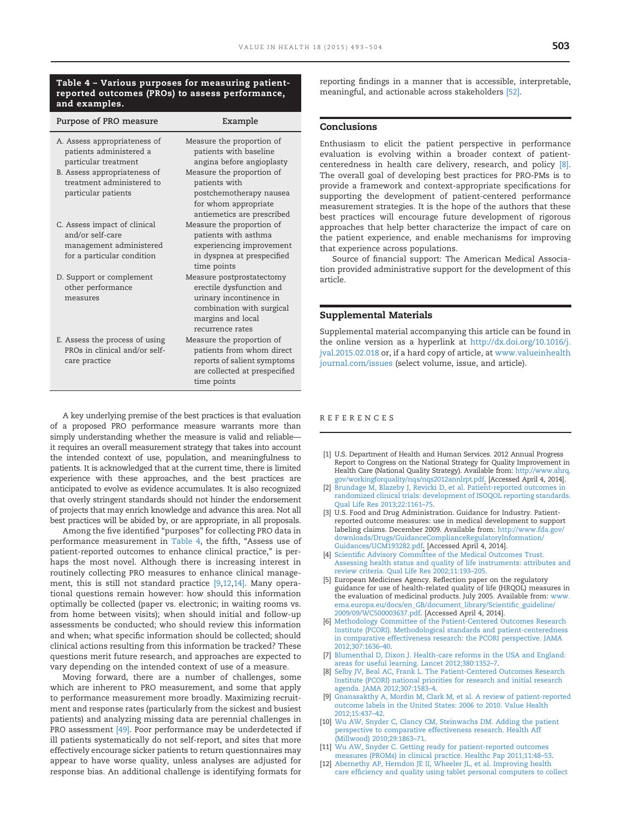# Table 4 – Various purposes for measuring patientreported outcomes (PROs) to assess performance, and examples.

| Purpose of PRO measure                                                                                                                                              | Example                                                                                                                                                                                                         |
|---------------------------------------------------------------------------------------------------------------------------------------------------------------------|-----------------------------------------------------------------------------------------------------------------------------------------------------------------------------------------------------------------|
| A. Assess appropriateness of<br>patients administered a<br>particular treatment<br>B. Assess appropriateness of<br>treatment administered to<br>particular patients | Measure the proportion of<br>patients with baseline<br>angina before angioplasty<br>Measure the proportion of<br>patients with<br>postchemotherapy nausea<br>for whom appropriate<br>antiemetics are prescribed |
| C. Assess impact of clinical<br>and/or self-care<br>management administered<br>for a particular condition                                                           | Measure the proportion of<br>patients with asthma<br>experiencing improvement<br>in dyspnea at prespecified<br>time points                                                                                      |
| D. Support or complement<br>other performance<br>measures                                                                                                           | Measure postprostatectomy<br>erectile dysfunction and<br>urinary incontinence in<br>combination with surgical<br>margins and local<br>recurrence rates                                                          |
| E. Assess the process of using<br>PROs in clinical and/or self-<br>care practice                                                                                    | Measure the proportion of<br>patients from whom direct<br>reports of salient symptoms<br>are collected at prespecified<br>time points                                                                           |

A key underlying premise of the best practices is that evaluation of a proposed PRO performance measure warrants more than simply understanding whether the measure is valid and reliable it requires an overall measurement strategy that takes into account the intended context of use, population, and meaningfulness to patients. It is acknowledged that at the current time, there is limited experience with these approaches, and the best practices are anticipated to evolve as evidence accumulates. It is also recognized that overly stringent standards should not hinder the endorsement of projects that may enrich knowledge and advance this area. Not all best practices will be abided by, or are appropriate, in all proposals.

Among the five identified "purposes" for collecting PRO data in performance measurement in Table 4, the fifth, "Assess use of patient-reported outcomes to enhance clinical practice," is perhaps the most novel. Although there is increasing interest in routinely collecting PRO measures to enhance clinical management, this is still not standard practice [9,12,14]. Many operational questions remain however: how should this information optimally be collected (paper vs. electronic; in waiting rooms vs. from home between visits); when should initial and follow-up assessments be conducted; who should review this information and when; what specific information should be collected; should clinical actions resulting from this information be tracked? These questions merit future research, and approaches are expected to vary depending on the intended context of use of a measure.

Moving forward, there are a number of challenges, some which are inherent to PRO measurement, and some that apply to performance measurement more broadly. Maximizing recruitment and response rates (particularly from the sickest and busiest patients) and analyzing missing data are perennial challenges in PRO assessment [49]. Poor performance may be underdetected if ill patients systematically do not self-report, and sites that more effectively encourage sicker patients to return questionnaires may appear to have worse quality, unless analyses are adjusted for response bias. An additional challenge is identifying formats for

reporting findings in a manner that is accessible, interpretable, meaningful, and actionable across stakeholders [52].

# Conclusions

Enthusiasm to elicit the patient perspective in performance evaluation is evolving within a broader context of patientcenteredness in health care delivery, research, and policy [8]. The overall goal of developing best practices for PRO-PMs is to provide a framework and context-appropriate specifications for supporting the development of patient-centered performance measurement strategies. It is the hope of the authors that these best practices will encourage future development of rigorous approaches that help better characterize the impact of care on the patient experience, and enable mechanisms for improving that experience across populations.

Source of financial support: The American Medical Association provided administrative support for the development of this article.

# Supplemental Materials

Supplemental material accompanying this article can be found in the online version as a hyperlink at [http://dx.doi.org/10.1016/j.](http://dx.doi.org/10.1016/j.jval.2015.02.018) [jval.2015.02.018](http://dx.doi.org/10.1016/j.jval.2015.02.018) or, if a hard copy of article, at [www.valueinhealth](www.valueinhealthjournal.com/issues) [journal.com/issues](www.valueinhealthjournal.com/issues) (select volume, issue, and article).

### REFERENCES

- [1] U.S. Department of Health and Human Services. 2012 Annual Progress Report to Congress on the National Strategy for Quality Improvement in Health Care (National Quality Strategy). Available from: [http://www.ahrq.](http://www.ahrq.gov/workingforquality/nqs/nqs2012annlrpt.pdf) [gov/workingforquality/nqs/nqs2012annlrpt.pdf](http://www.ahrq.gov/workingforquality/nqs/nqs2012annlrpt.pdf). [Accessed April 4, 2014].
- [2] [Brundage M, Blazeby J, Revicki D, et al. Patient-reported outcomes in](http://refhub.elsevier.com/S1098-3015(15)01912-9/sbref1) [randomized clinical trials: development of ISOQOL reporting standards.](http://refhub.elsevier.com/S1098-3015(15)01912-9/sbref1) [Qual Life Res 2013;22:1161](http://refhub.elsevier.com/S1098-3015(15)01912-9/sbref1)–75.
- [3] U.S. Food and Drug Administration. Guidance for Industry. Patientreported outcome measures: use in medical development to support labeling claims. December 2009. Available from: [http://www.fda.gov/](http://www.fda.gov/downloads/Drugs/GuidanceComplianceRegulatoryInformation/Guidances/UCM193282.pdf) [downloads/Drugs/GuidanceComplianceRegulatoryInformation/](http://www.fda.gov/downloads/Drugs/GuidanceComplianceRegulatoryInformation/Guidances/UCM193282.pdf)
- [Guidances/UCM193282.pdf.](http://www.fda.gov/downloads/Drugs/GuidanceComplianceRegulatoryInformation/Guidances/UCM193282.pdf) [Accessed April 4, 2014]. [4] Scientifi[c Advisory Committee of the Medical Outcomes Trust.](http://refhub.elsevier.com/S1098-3015(15)01912-9/sbref2) [Assessing health status and quality of life instruments: attributes and](http://refhub.elsevier.com/S1098-3015(15)01912-9/sbref2) [review criteria. Qual Life Res 2002;11:193](http://refhub.elsevier.com/S1098-3015(15)01912-9/sbref2)–205.
- [5] European Medicines Agency. Reflection paper on the regulatory guidance for use of health-related quality of life (HRQOL) measures in the evaluation of medicinal products. July 2005. Available from: [www.](www.ema.europa.eu/docs/en_GB/document_library/Scientific_guideline/2009/09/WC500003637.pdf) [ema.europa.eu/docs/en\\_GB/document\\_library/Scienti](www.ema.europa.eu/docs/en_GB/document_library/Scientific_guideline/2009/09/WC500003637.pdf)fic\_guideline/ [2009/09/WC500003637.pdf](www.ema.europa.eu/docs/en_GB/document_library/Scientific_guideline/2009/09/WC500003637.pdf). [Accessed April 4, 2014].
- [6] [Methodology Committee of the Patient-Centered Outcomes Research](http://refhub.elsevier.com/S1098-3015(15)01912-9/sbref3) [Institute \(PCORI\). Methodological standards and patient-centeredness](http://refhub.elsevier.com/S1098-3015(15)01912-9/sbref3) [in comparative effectiveness research: the PCORI perspective. JAMA](http://refhub.elsevier.com/S1098-3015(15)01912-9/sbref3) [2012;307:1636](http://refhub.elsevier.com/S1098-3015(15)01912-9/sbref3)–40.
- [7] [Blumenthal D, Dixon J. Health-care reforms in the USA and England:](http://refhub.elsevier.com/S1098-3015(15)01912-9/sbref4) [areas for useful learning. Lancet 2012;380:1352](http://refhub.elsevier.com/S1098-3015(15)01912-9/sbref4)–7.
- [8] [Selby JV, Beal AC, Frank L. The Patient-Centered Outcomes Research](http://refhub.elsevier.com/S1098-3015(15)01912-9/sbref5) [Institute \(PCORI\) national priorities for research and initial research](http://refhub.elsevier.com/S1098-3015(15)01912-9/sbref5) [agenda. JAMA 2012;307:1583](http://refhub.elsevier.com/S1098-3015(15)01912-9/sbref5)–4.
- [9] [Gnanasakthy A, Mordin M, Clark M, et al. A review of patient-reported](http://refhub.elsevier.com/S1098-3015(15)01912-9/sbref6) [outcome labels in the United States: 2006 to 2010. Value Health](http://refhub.elsevier.com/S1098-3015(15)01912-9/sbref6) [2012;15:437](http://refhub.elsevier.com/S1098-3015(15)01912-9/sbref6)–42.
- [10] [Wu AW, Snyder C, Clancy CM, Steinwachs DM. Adding the patient](http://refhub.elsevier.com/S1098-3015(15)01912-9/sbref7) [perspective to comparative effectiveness research. Health Aff](http://refhub.elsevier.com/S1098-3015(15)01912-9/sbref7) [\(Millwood\) 2010;29:1863](http://refhub.elsevier.com/S1098-3015(15)01912-9/sbref7)–71.
- [11] [Wu AW, Snyder C. Getting ready for patient-reported outcomes](http://refhub.elsevier.com/S1098-3015(15)01912-9/sbref8) [measures \(PROMs\) in clinical practice. Healthc Pap 2011;11:48](http://refhub.elsevier.com/S1098-3015(15)01912-9/sbref8)–53.
- [12] [Abernethy AP, Herndon JE II, Wheeler JL, et al. Improving health](http://refhub.elsevier.com/S1098-3015(15)01912-9/sbref9) care effi[ciency and quality using tablet personal computers to collect](http://refhub.elsevier.com/S1098-3015(15)01912-9/sbref9)